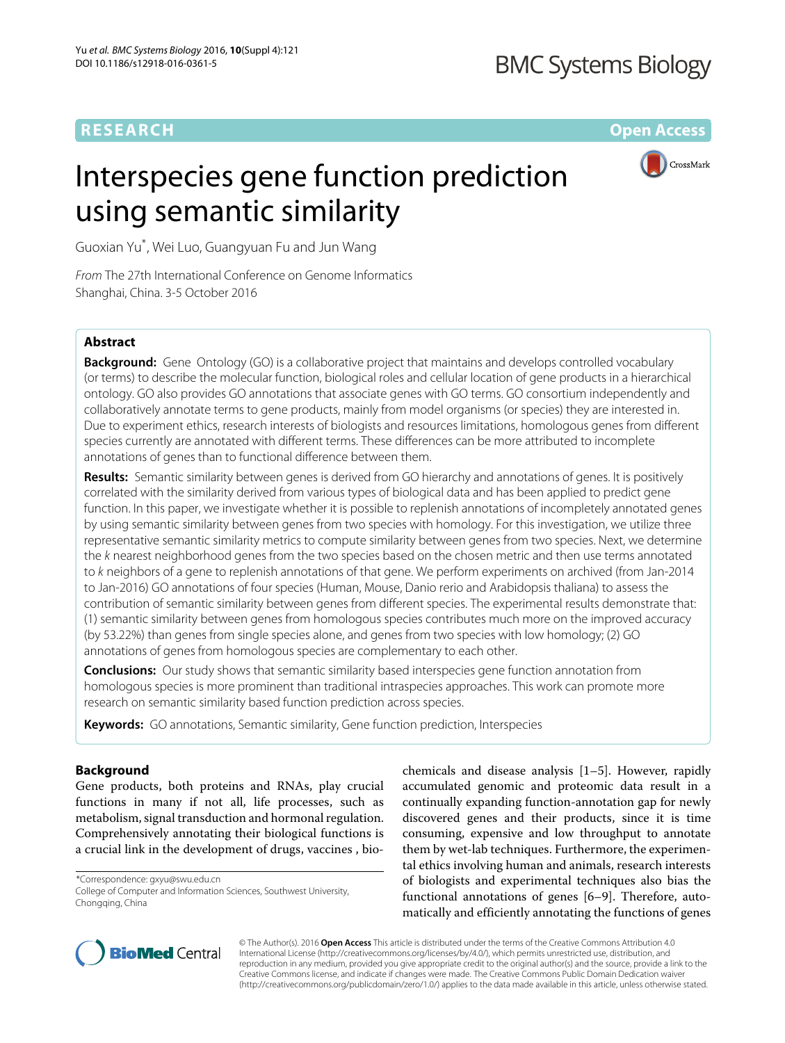# **RESEARCH Open Access**

# Interspecies gene function prediction using semantic similarity

CrossMark

Guoxian Yu\* , Wei Luo, Guangyuan Fu and Jun Wang

From The 27th International Conference on Genome Informatics Shanghai, China. 3-5 October 2016

# **Abstract**

**Background:** Gene Ontology (GO) is a collaborative project that maintains and develops controlled vocabulary (or terms) to describe the molecular function, biological roles and cellular location of gene products in a hierarchical ontology. GO also provides GO annotations that associate genes with GO terms. GO consortium independently and collaboratively annotate terms to gene products, mainly from model organisms (or species) they are interested in. Due to experiment ethics, research interests of biologists and resources limitations, homologous genes from different species currently are annotated with different terms. These differences can be more attributed to incomplete annotations of genes than to functional difference between them.

**Results:** Semantic similarity between genes is derived from GO hierarchy and annotations of genes. It is positively correlated with the similarity derived from various types of biological data and has been applied to predict gene function. In this paper, we investigate whether it is possible to replenish annotations of incompletely annotated genes by using semantic similarity between genes from two species with homology. For this investigation, we utilize three representative semantic similarity metrics to compute similarity between genes from two species. Next, we determine the k nearest neighborhood genes from the two species based on the chosen metric and then use terms annotated to k neighbors of a gene to replenish annotations of that gene. We perform experiments on archived (from Jan-2014 to Jan-2016) GO annotations of four species (Human, Mouse, Danio rerio and Arabidopsis thaliana) to assess the contribution of semantic similarity between genes from different species. The experimental results demonstrate that: (1) semantic similarity between genes from homologous species contributes much more on the improved accuracy (by 53.22%) than genes from single species alone, and genes from two species with low homology; (2) GO annotations of genes from homologous species are complementary to each other.

**Conclusions:** Our study shows that semantic similarity based interspecies gene function annotation from homologous species is more prominent than traditional intraspecies approaches. This work can promote more research on semantic similarity based function prediction across species.

**Keywords:** GO annotations, Semantic similarity, Gene function prediction, Interspecies

# **Background**

Gene products, both proteins and RNAs, play crucial functions in many if not all, life processes, such as metabolism, signal transduction and hormonal regulation. Comprehensively annotating their biological functions is a crucial link in the development of drugs, vaccines , bio-

\*Correspondence: [gxyu@swu.edu.cn](mailto: gxyu@swu.edu.cn)

College of Computer and Information Sciences, Southwest University, Chongqing, China

chemicals and disease analysis [\[1](#page-11-0)[–5\]](#page-11-1). However, rapidly accumulated genomic and proteomic data result in a continually expanding function-annotation gap for newly discovered genes and their products, since it is time consuming, expensive and low throughput to annotate them by wet-lab techniques. Furthermore, the experimental ethics involving human and animals, research interests of biologists and experimental techniques also bias the functional annotations of genes [\[6](#page-11-2)[–9\]](#page-11-3). Therefore, automatically and efficiently annotating the functions of genes



© The Author(s). 2016 **Open Access** This article is distributed under the terms of the Creative Commons Attribution 4.0 International License [\(http://creativecommons.org/licenses/by/4.0/\)](http://creativecommons.org/licenses/by/4.0/), which permits unrestricted use, distribution, and reproduction in any medium, provided you give appropriate credit to the original author(s) and the source, provide a link to the Creative Commons license, and indicate if changes were made. The Creative Commons Public Domain Dedication waiver [\(http://creativecommons.org/publicdomain/zero/1.0/\)](http://creativecommons.org/publicdomain/zero/1.0/) applies to the data made available in this article, unless otherwise stated.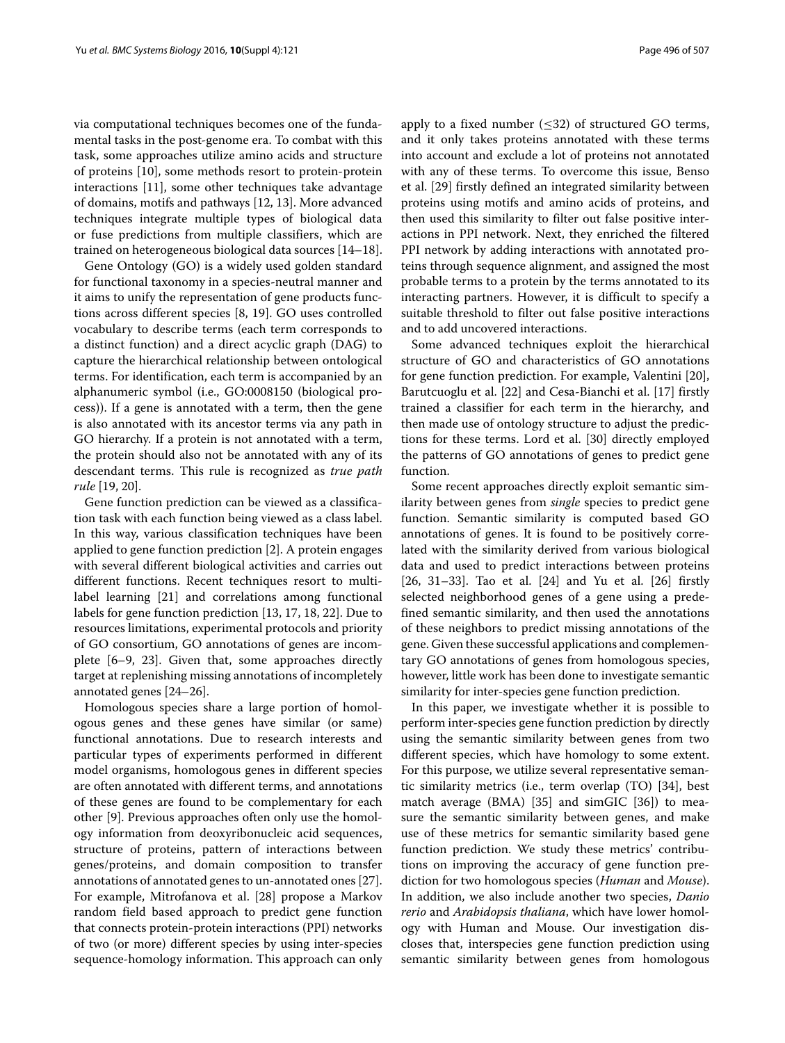via computational techniques becomes one of the fundamental tasks in the post-genome era. To combat with this task, some approaches utilize amino acids and structure of proteins [\[10\]](#page-12-0), some methods resort to protein-protein interactions [\[11\]](#page-12-1), some other techniques take advantage of domains, motifs and pathways [\[12,](#page-12-2) [13\]](#page-12-3). More advanced techniques integrate multiple types of biological data or fuse predictions from multiple classifiers, which are trained on heterogeneous biological data sources [\[14–](#page-12-4)[18\]](#page-12-5).

Gene Ontology (GO) is a widely used golden standard for functional taxonomy in a species-neutral manner and it aims to unify the representation of gene products functions across different species [\[8,](#page-11-4) [19\]](#page-12-6). GO uses controlled vocabulary to describe terms (each term corresponds to a distinct function) and a direct acyclic graph (DAG) to capture the hierarchical relationship between ontological terms. For identification, each term is accompanied by an alphanumeric symbol (i.e., GO:0008150 (biological process)). If a gene is annotated with a term, then the gene is also annotated with its ancestor terms via any path in GO hierarchy. If a protein is not annotated with a term, the protein should also not be annotated with any of its descendant terms. This rule is recognized as *true path rule* [\[19,](#page-12-6) [20\]](#page-12-7).

Gene function prediction can be viewed as a classification task with each function being viewed as a class label. In this way, various classification techniques have been applied to gene function prediction [\[2\]](#page-11-5). A protein engages with several different biological activities and carries out different functions. Recent techniques resort to multilabel learning [\[21\]](#page-12-8) and correlations among functional labels for gene function prediction [\[13,](#page-12-3) [17,](#page-12-9) [18,](#page-12-5) [22\]](#page-12-10). Due to resources limitations, experimental protocols and priority of GO consortium, GO annotations of genes are incomplete [\[6](#page-11-2)[–9,](#page-11-3) [23\]](#page-12-11). Given that, some approaches directly target at replenishing missing annotations of incompletely annotated genes [\[24–](#page-12-12)[26\]](#page-12-13).

Homologous species share a large portion of homologous genes and these genes have similar (or same) functional annotations. Due to research interests and particular types of experiments performed in different model organisms, homologous genes in different species are often annotated with different terms, and annotations of these genes are found to be complementary for each other [\[9\]](#page-11-3). Previous approaches often only use the homology information from deoxyribonucleic acid sequences, structure of proteins, pattern of interactions between genes/proteins, and domain composition to transfer annotations of annotated genes to un-annotated ones [\[27\]](#page-12-14). For example, Mitrofanova et al. [\[28\]](#page-12-15) propose a Markov random field based approach to predict gene function that connects protein-protein interactions (PPI) networks of two (or more) different species by using inter-species sequence-homology information. This approach can only

apply to a fixed number  $(\leq 32)$  of structured GO terms, and it only takes proteins annotated with these terms into account and exclude a lot of proteins not annotated with any of these terms. To overcome this issue, Benso et al. [\[29\]](#page-12-16) firstly defined an integrated similarity between proteins using motifs and amino acids of proteins, and then used this similarity to filter out false positive interactions in PPI network. Next, they enriched the filtered PPI network by adding interactions with annotated proteins through sequence alignment, and assigned the most probable terms to a protein by the terms annotated to its interacting partners. However, it is difficult to specify a suitable threshold to filter out false positive interactions and to add uncovered interactions.

Some advanced techniques exploit the hierarchical structure of GO and characteristics of GO annotations for gene function prediction. For example, Valentini [\[20\]](#page-12-7), Barutcuoglu et al. [\[22\]](#page-12-10) and Cesa-Bianchi et al. [\[17\]](#page-12-9) firstly trained a classifier for each term in the hierarchy, and then made use of ontology structure to adjust the predictions for these terms. Lord et al. [\[30\]](#page-12-17) directly employed the patterns of GO annotations of genes to predict gene function.

Some recent approaches directly exploit semantic similarity between genes from *single* species to predict gene function. Semantic similarity is computed based GO annotations of genes. It is found to be positively correlated with the similarity derived from various biological data and used to predict interactions between proteins [\[26,](#page-12-13) [31](#page-12-18)[–33\]](#page-12-19). Tao et al. [\[24\]](#page-12-12) and Yu et al. [\[26\]](#page-12-13) firstly selected neighborhood genes of a gene using a predefined semantic similarity, and then used the annotations of these neighbors to predict missing annotations of the gene. Given these successful applications and complementary GO annotations of genes from homologous species, however, little work has been done to investigate semantic similarity for inter-species gene function prediction.

In this paper, we investigate whether it is possible to perform inter-species gene function prediction by directly using the semantic similarity between genes from two different species, which have homology to some extent. For this purpose, we utilize several representative semantic similarity metrics (i.e., term overlap (TO) [\[34\]](#page-12-20), best match average (BMA) [\[35\]](#page-12-21) and simGIC [\[36\]](#page-12-22)) to measure the semantic similarity between genes, and make use of these metrics for semantic similarity based gene function prediction. We study these metrics' contributions on improving the accuracy of gene function prediction for two homologous species (*Human* and *Mouse*). In addition, we also include another two species, *Danio rerio* and *Arabidopsis thaliana*, which have lower homology with Human and Mouse. Our investigation discloses that, interspecies gene function prediction using semantic similarity between genes from homologous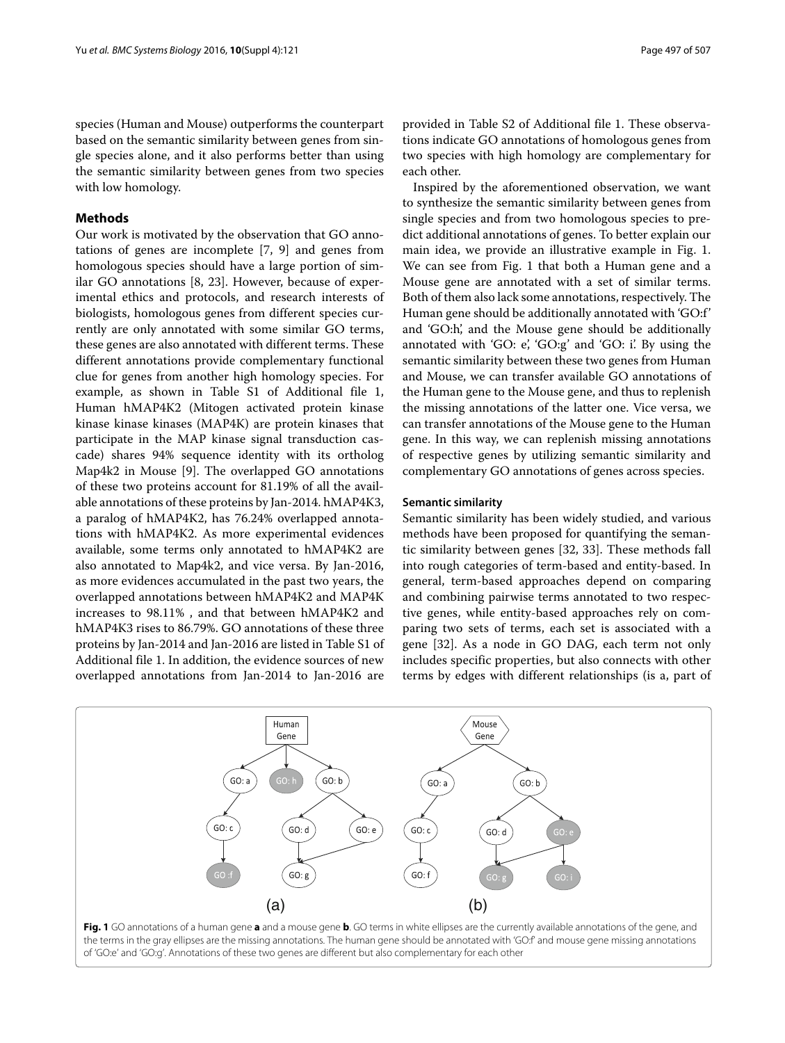based on the semantic similarity between genes from single species alone, and it also performs better than using the semantic similarity between genes from two species with low homology.

# **Methods**

Our work is motivated by the observation that GO annotations of genes are incomplete [\[7,](#page-11-6) [9\]](#page-11-3) and genes from homologous species should have a large portion of similar GO annotations [\[8,](#page-11-4) [23\]](#page-12-11). However, because of experimental ethics and protocols, and research interests of biologists, homologous genes from different species currently are only annotated with some similar GO terms, these genes are also annotated with different terms. These different annotations provide complementary functional clue for genes from another high homology species. For example, as shown in Table S1 of Additional file [1,](#page-11-7) Human hMAP4K2 (Mitogen activated protein kinase kinase kinase kinases (MAP4K) are protein kinases that participate in the MAP kinase signal transduction cascade) shares 94% sequence identity with its ortholog Map4k2 in Mouse [\[9\]](#page-11-3). The overlapped GO annotations of these two proteins account for 81.19% of all the available annotations of these proteins by Jan-2014. hMAP4K3, a paralog of hMAP4K2, has 76.24% overlapped annotations with hMAP4K2. As more experimental evidences available, some terms only annotated to hMAP4K2 are also annotated to Map4k2, and vice versa. By Jan-2016, as more evidences accumulated in the past two years, the overlapped annotations between hMAP4K2 and MAP4K increases to 98.11% , and that between hMAP4K2 and hMAP4K3 rises to 86.79%. GO annotations of these three proteins by Jan-2014 and Jan-2016 are listed in Table S1 of Additional file [1.](#page-11-7) In addition, the evidence sources of new overlapped annotations from Jan-2014 to Jan-2016 are

provided in Table S2 of Additional file [1.](#page-11-7) These observations indicate GO annotations of homologous genes from two species with high homology are complementary for each other.

Inspired by the aforementioned observation, we want to synthesize the semantic similarity between genes from single species and from two homologous species to predict additional annotations of genes. To better explain our main idea, we provide an illustrative example in Fig. [1.](#page-2-0) We can see from Fig. [1](#page-2-0) that both a Human gene and a Mouse gene are annotated with a set of similar terms. Both of them also lack some annotations, respectively. The Human gene should be additionally annotated with 'GO:f' and 'GO:h', and the Mouse gene should be additionally annotated with 'GO: e', 'GO:g' and 'GO: i'. By using the semantic similarity between these two genes from Human and Mouse, we can transfer available GO annotations of the Human gene to the Mouse gene, and thus to replenish the missing annotations of the latter one. Vice versa, we can transfer annotations of the Mouse gene to the Human gene. In this way, we can replenish missing annotations of respective genes by utilizing semantic similarity and complementary GO annotations of genes across species.

# **Semantic similarity**

Semantic similarity has been widely studied, and various methods have been proposed for quantifying the semantic similarity between genes [\[32,](#page-12-23) [33\]](#page-12-19). These methods fall into rough categories of term-based and entity-based. In general, term-based approaches depend on comparing and combining pairwise terms annotated to two respective genes, while entity-based approaches rely on comparing two sets of terms, each set is associated with a gene [\[32\]](#page-12-23). As a node in GO DAG, each term not only includes specific properties, but also connects with other terms by edges with different relationships (is a, part of

<span id="page-2-0"></span>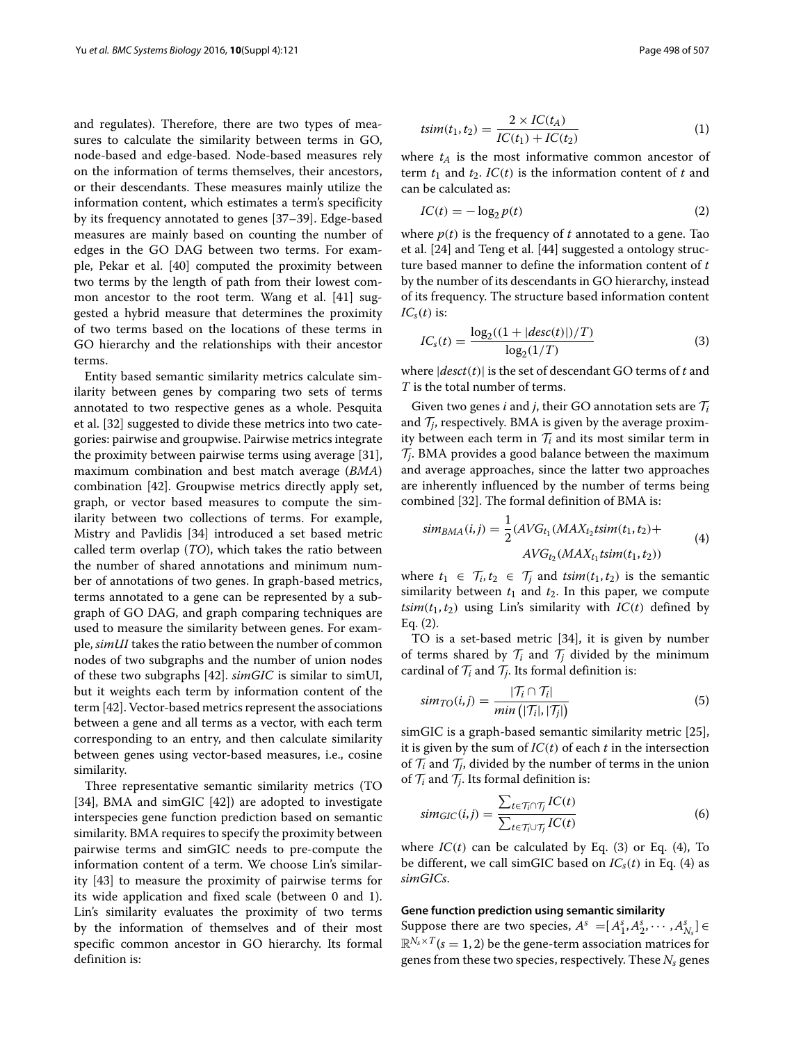and regulates). Therefore, there are two types of measures to calculate the similarity between terms in GO, node-based and edge-based. Node-based measures rely on the information of terms themselves, their ancestors, or their descendants. These measures mainly utilize the information content, which estimates a term's specificity by its frequency annotated to genes [\[37](#page-12-24)[–39\]](#page-12-25). Edge-based measures are mainly based on counting the number of edges in the GO DAG between two terms. For example, Pekar et al. [\[40\]](#page-12-26) computed the proximity between two terms by the length of path from their lowest common ancestor to the root term. Wang et al. [\[41\]](#page-12-27) suggested a hybrid measure that determines the proximity of two terms based on the locations of these terms in GO hierarchy and the relationships with their ancestor terms.

Entity based semantic similarity metrics calculate similarity between genes by comparing two sets of terms annotated to two respective genes as a whole. Pesquita et al. [\[32\]](#page-12-23) suggested to divide these metrics into two categories: pairwise and groupwise. Pairwise metrics integrate the proximity between pairwise terms using average [\[31\]](#page-12-18), maximum combination and best match average (*BMA*) combination [\[42\]](#page-12-28). Groupwise metrics directly apply set, graph, or vector based measures to compute the similarity between two collections of terms. For example, Mistry and Pavlidis [\[34\]](#page-12-20) introduced a set based metric called term overlap (*TO*), which takes the ratio between the number of shared annotations and minimum number of annotations of two genes. In graph-based metrics, terms annotated to a gene can be represented by a subgraph of GO DAG, and graph comparing techniques are used to measure the similarity between genes. For example, *simUI* takes the ratio between the number of common nodes of two subgraphs and the number of union nodes of these two subgraphs [\[42\]](#page-12-28). *simGIC* is similar to simUI, but it weights each term by information content of the term [\[42\]](#page-12-28). Vector-based metrics represent the associations between a gene and all terms as a vector, with each term corresponding to an entry, and then calculate similarity between genes using vector-based measures, i.e., cosine similarity.

Three representative semantic similarity metrics (TO [\[34\]](#page-12-20), BMA and simGIC [\[42\]](#page-12-28)) are adopted to investigate interspecies gene function prediction based on semantic similarity. BMA requires to specify the proximity between pairwise terms and simGIC needs to pre-compute the information content of a term. We choose Lin's similarity [\[43\]](#page-12-29) to measure the proximity of pairwise terms for its wide application and fixed scale (between 0 and 1). Lin's similarity evaluates the proximity of two terms by the information of themselves and of their most specific common ancestor in GO hierarchy. Its formal definition is:

$$
tsim(t_1, t_2) = \frac{2 \times IC(t_A)}{IC(t_1) + IC(t_2)}
$$
\n(1)

where  $t_A$  is the most informative common ancestor of term  $t_1$  and  $t_2$ .  $IC(t)$  is the information content of  $t$  and can be calculated as:

<span id="page-3-0"></span>
$$
IC(t) = -\log_2 p(t) \tag{2}
$$

where  $p(t)$  is the frequency of  $t$  annotated to a gene. Tao et al. [\[24\]](#page-12-12) and Teng et al. [\[44\]](#page-12-30) suggested a ontology structure based manner to define the information content of *t* by the number of its descendants in GO hierarchy, instead of its frequency. The structure based information content  $IC_s(t)$  is:

<span id="page-3-1"></span>
$$
IC_s(t) = \frac{\log_2((1 + |desc(t)|)/T)}{\log_2(1/T)}
$$
(3)

where  $|desct(t)|$  is the set of descendant GO terms of *t* and *T* is the total number of terms.

Given two genes *i* and *j*, their GO annotation sets are  $\mathcal{T}_i$ and  $T_i$ , respectively. BMA is given by the average proximity between each term in  $\mathcal{T}_i$  and its most similar term in T*j*. BMA provides a good balance between the maximum and average approaches, since the latter two approaches are inherently influenced by the number of terms being combined [\[32\]](#page-12-23). The formal definition of BMA is:

<span id="page-3-2"></span>
$$
sim_{BMA}(i,j) = \frac{1}{2}(AVG_{t_1}(MAX_{t_2}tsim(t_1, t_2) + AVG_{t_2}(MAX_{t_1}tsim(t_1, t_2))
$$
\n(4)

where  $t_1 \in \mathcal{T}_i, t_2 \in \mathcal{T}_i$  and  $t\sin(t_1, t_2)$  is the semantic similarity between  $t_1$  and  $t_2$ . In this paper, we compute  $t \sin(t_1, t_2)$  using Lin's similarity with  $IC(t)$  defined by Eq. [\(2\)](#page-3-0).

TO is a set-based metric [\[34\]](#page-12-20), it is given by number of terms shared by  $T_i$  and  $T_j$  divided by the minimum cardinal of  $\mathcal{T}_i$  and  $\mathcal{T}_i$ . Its formal definition is:

<span id="page-3-3"></span>
$$
sim_{TO}(i,j) = \frac{|T_i \cap T_i|}{min(|T_i|, |T_j|)}
$$
\n(5)

simGIC is a graph-based semantic similarity metric [25], it is given by the sum of *IC*(*t*) of each *t* in the intersection of  $\mathcal{T}_i$  and  $\mathcal{T}_j$ , divided by the number of terms in the union of  $\mathcal{T}_i$  and  $\mathcal{T}_j$ . Its formal definition is:

<span id="page-3-4"></span>
$$
sim_{GIC}(i,j) = \frac{\sum_{t \in \mathcal{T}_i \cap \mathcal{T}_j} IC(t)}{\sum_{t \in \mathcal{T}_i \cup \mathcal{T}_j} IC(t)}
$$
(6)

where  $IC(t)$  can be calculated by Eq. [\(3\)](#page-3-1) or Eq. [\(4\)](#page-3-2), To be different, we call simGIC based on  $IC_s(t)$  in Eq. [\(4\)](#page-3-2) as *simGICs*.

#### **Gene function prediction using semantic similarity**

Suppose there are two species,  $A^s = [A_1^s, A_2^s, \cdots, A_{N_s}^s] \in$  $\mathbb{R}^{N_s \times T}$  (*s* = 1, 2) be the gene-term association matrices for genes from these two species, respectively. These *Ns* genes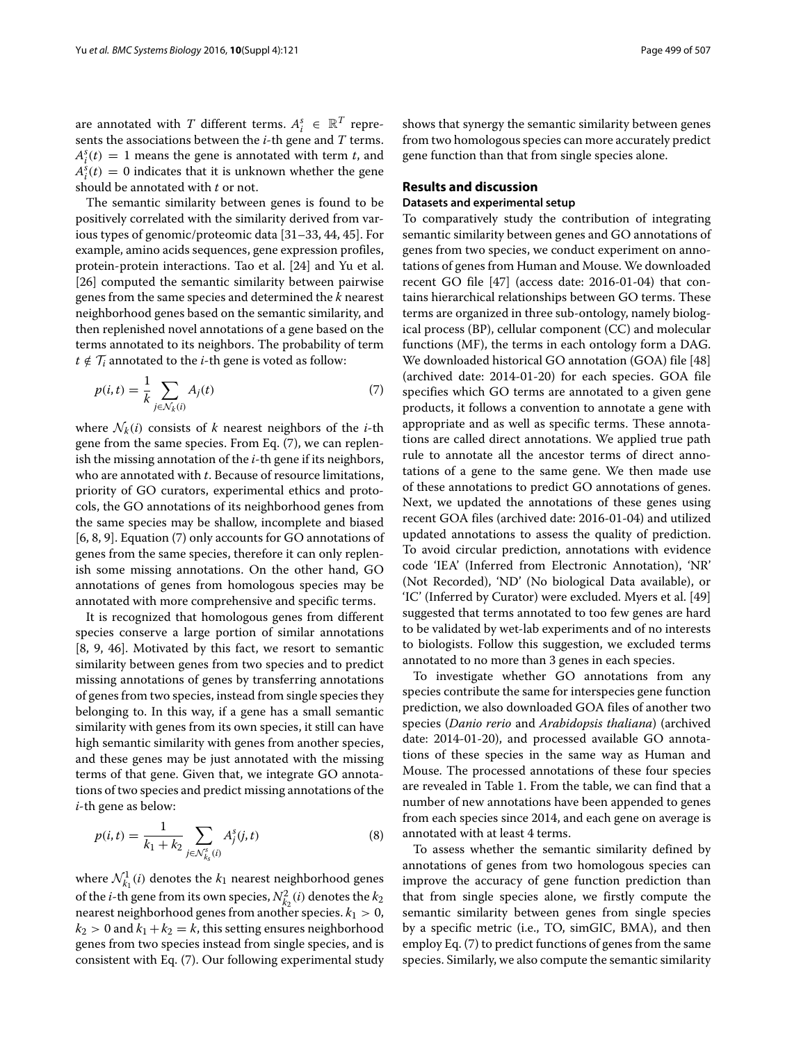are annotated with *T* different terms.  $A_i^s \in \mathbb{R}^T$  represents the associations between the *i*-th gene and *T* terms.  $A_i^s(t) = 1$  means the gene is annotated with term *t*, and  $A_i^s(t) = 0$  indicates that it is unknown whether the gene should be annotated with *t* or not.

The semantic similarity between genes is found to be positively correlated with the similarity derived from various types of genomic/proteomic data [\[31–](#page-12-18)[33,](#page-12-19) [44,](#page-12-30) [45\]](#page-12-31). For example, amino acids sequences, gene expression profiles, protein-protein interactions. Tao et al. [\[24\]](#page-12-12) and Yu et al. [\[26\]](#page-12-13) computed the semantic similarity between pairwise genes from the same species and determined the *k* nearest neighborhood genes based on the semantic similarity, and then replenished novel annotations of a gene based on the terms annotated to its neighbors. The probability of term  $t \notin \mathcal{T}_i$  annotated to the *i*-th gene is voted as follow:

$$
p(i,t) = \frac{1}{k} \sum_{j \in \mathcal{N}_k(i)} A_j(t) \tag{7}
$$

where  $\mathcal{N}_k(i)$  consists of *k* nearest neighbors of the *i*-th gene from the same species. From Eq. [\(7\)](#page-4-0), we can replenish the missing annotation of the *i*-th gene if its neighbors, who are annotated with *t*. Because of resource limitations, priority of GO curators, experimental ethics and protocols, the GO annotations of its neighborhood genes from the same species may be shallow, incomplete and biased [\[6,](#page-11-2) [8,](#page-11-4) [9\]](#page-11-3). Equation [\(7\)](#page-4-0) only accounts for GO annotations of genes from the same species, therefore it can only replenish some missing annotations. On the other hand, GO annotations of genes from homologous species may be annotated with more comprehensive and specific terms.

It is recognized that homologous genes from different species conserve a large portion of similar annotations [\[8,](#page-11-4) [9,](#page-11-3) [46\]](#page-12-32). Motivated by this fact, we resort to semantic similarity between genes from two species and to predict missing annotations of genes by transferring annotations of genes from two species, instead from single species they belonging to. In this way, if a gene has a small semantic similarity with genes from its own species, it still can have high semantic similarity with genes from another species, and these genes may be just annotated with the missing terms of that gene. Given that, we integrate GO annotations of two species and predict missing annotations of the *i*-th gene as below:

<span id="page-4-1"></span>
$$
p(i,t) = \frac{1}{k_1 + k_2} \sum_{j \in \mathcal{N}_{k_3}^s(i)} A_j^s(j,t)
$$
 (8)

where  $\mathcal{N}_{k_1}^1(i)$  denotes the  $k_1$  nearest neighborhood genes of the *i*-th gene from its own species,  $N_{k_2}^2(i)$  denotes the  $k_2$ nearest neighborhood genes from another species.  $k_1 > 0$ ,  $k_2 > 0$  and  $k_1 + k_2 = k$ , this setting ensures neighborhood genes from two species instead from single species, and is consistent with Eq. [\(7\)](#page-4-0). Our following experimental study shows that synergy the semantic similarity between genes from two homologous species can more accurately predict gene function than that from single species alone.

# **Results and discussion**

#### **Datasets and experimental setup**

<span id="page-4-0"></span>To comparatively study the contribution of integrating semantic similarity between genes and GO annotations of genes from two species, we conduct experiment on annotations of genes from Human and Mouse. We downloaded recent GO file [\[47\]](#page-12-33) (access date: 2016-01-04) that contains hierarchical relationships between GO terms. These terms are organized in three sub-ontology, namely biological process (BP), cellular component (CC) and molecular functions (MF), the terms in each ontology form a DAG. We downloaded historical GO annotation (GOA) file [\[48\]](#page-12-34) (archived date: 2014-01-20) for each species. GOA file specifies which GO terms are annotated to a given gene products, it follows a convention to annotate a gene with appropriate and as well as specific terms. These annotations are called direct annotations. We applied true path rule to annotate all the ancestor terms of direct annotations of a gene to the same gene. We then made use of these annotations to predict GO annotations of genes. Next, we updated the annotations of these genes using recent GOA files (archived date: 2016-01-04) and utilized updated annotations to assess the quality of prediction. To avoid circular prediction, annotations with evidence code 'IEA' (Inferred from Electronic Annotation), 'NR' (Not Recorded), 'ND' (No biological Data available), or 'IC' (Inferred by Curator) were excluded. Myers et al. [\[49\]](#page-12-35) suggested that terms annotated to too few genes are hard to be validated by wet-lab experiments and of no interests to biologists. Follow this suggestion, we excluded terms annotated to no more than 3 genes in each species.

To investigate whether GO annotations from any species contribute the same for interspecies gene function prediction, we also downloaded GOA files of another two species (*Danio rerio* and *Arabidopsis thaliana*) (archived date: 2014-01-20), and processed available GO annotations of these species in the same way as Human and Mouse. The processed annotations of these four species are revealed in Table [1.](#page-5-0) From the table, we can find that a number of new annotations have been appended to genes from each species since 2014, and each gene on average is annotated with at least 4 terms.

To assess whether the semantic similarity defined by annotations of genes from two homologous species can improve the accuracy of gene function prediction than that from single species alone, we firstly compute the semantic similarity between genes from single species by a specific metric (i.e., TO, simGIC, BMA), and then employ Eq. [\(7\)](#page-4-0) to predict functions of genes from the same species. Similarly, we also compute the semantic similarity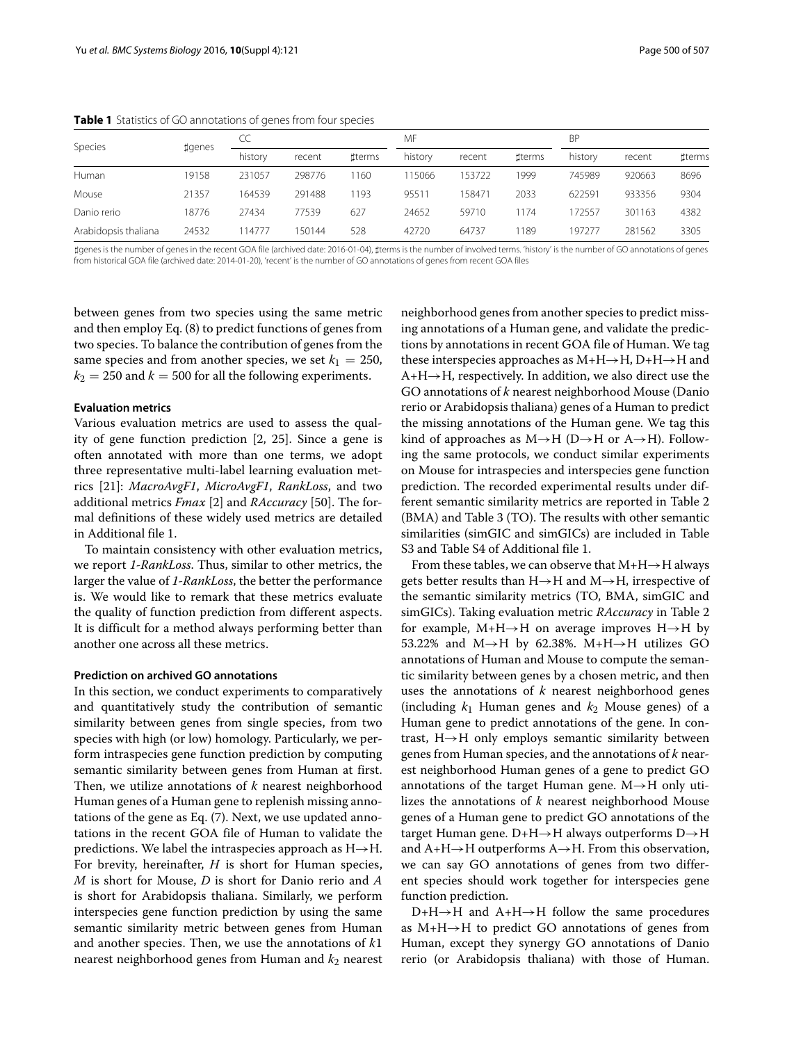<span id="page-5-0"></span>

|                      | <b>‡genes</b> | CC      |        | MF     |         |        | <b>BP</b> |         |        |        |
|----------------------|---------------|---------|--------|--------|---------|--------|-----------|---------|--------|--------|
| Species              |               | history | recent | tterms | history | recent | tterms    | history | recent | tterms |
| Human                | 19158         | 231057  | 298776 | 1160   | 115066  | 153722 | 1999      | 745989  | 920663 | 8696   |
| Mouse                | 21357         | 164539  | 291488 | 1193   | 95511   | 158471 | 2033      | 622591  | 933356 | 9304   |
| Danio rerio          | 18776         | 27434   | 77539  | 627    | 24652   | 59710  | 1174      | 172557  | 301163 | 4382   |
| Arabidopsis thaliana | 24532         | 14777   | 150144 | 528    | 42720   | 64737  | 1189      | 197277  | 281562 | 3305   |

**Table 1** Statistics of GO annotations of genes from four species

#genes is the number of genes in the recent GOA file (archived date: 2016-01-04), #terms is the number of involved terms. 'history' is the number of GO annotations of genes from historical GOA file (archived date: 2014-01-20), 'recent' is the number of GO annotations of genes from recent GOA files

between genes from two species using the same metric and then employ Eq. [\(8\)](#page-4-1) to predict functions of genes from two species. To balance the contribution of genes from the same species and from another species, we set  $k_1 = 250$ ,  $k_2 = 250$  and  $k = 500$  for all the following experiments.

#### **Evaluation metrics**

Various evaluation metrics are used to assess the quality of gene function prediction [\[2,](#page-11-5) [25\]](#page-12-36). Since a gene is often annotated with more than one terms, we adopt three representative multi-label learning evaluation metrics [\[21\]](#page-12-8): *MacroAvgF1*, *MicroAvgF1*, *RankLoss*, and two additional metrics *Fmax* [\[2\]](#page-11-5) and *RAccuracy* [\[50\]](#page-12-37). The formal definitions of these widely used metrics are detailed in Additional file [1.](#page-11-7)

To maintain consistency with other evaluation metrics, we report *1-RankLoss*. Thus, similar to other metrics, the larger the value of *1-RankLoss*, the better the performance is. We would like to remark that these metrics evaluate the quality of function prediction from different aspects. It is difficult for a method always performing better than another one across all these metrics.

#### **Prediction on archived GO annotations**

In this section, we conduct experiments to comparatively and quantitatively study the contribution of semantic similarity between genes from single species, from two species with high (or low) homology. Particularly, we perform intraspecies gene function prediction by computing semantic similarity between genes from Human at first. Then, we utilize annotations of *k* nearest neighborhood Human genes of a Human gene to replenish missing annotations of the gene as Eq. [\(7\)](#page-4-0). Next, we use updated annotations in the recent GOA file of Human to validate the predictions. We label the intraspecies approach as  $H \rightarrow H$ . For brevity, hereinafter, *H* is short for Human species, *M* is short for Mouse, *D* is short for Danio rerio and *A* is short for Arabidopsis thaliana. Similarly, we perform interspecies gene function prediction by using the same semantic similarity metric between genes from Human and another species. Then, we use the annotations of *k*1 nearest neighborhood genes from Human and  $k_2$  nearest neighborhood genes from another species to predict missing annotations of a Human gene, and validate the predictions by annotations in recent GOA file of Human. We tag these interspecies approaches as  $M+H\rightarrow H$ ,  $D+H\rightarrow H$  and  $A+H\rightarrow H$ , respectively. In addition, we also direct use the GO annotations of *k* nearest neighborhood Mouse (Danio rerio or Arabidopsis thaliana) genes of a Human to predict the missing annotations of the Human gene. We tag this kind of approaches as  $M \rightarrow H$  (D $\rightarrow$ H or A $\rightarrow$ H). Following the same protocols, we conduct similar experiments on Mouse for intraspecies and interspecies gene function prediction. The recorded experimental results under different semantic similarity metrics are reported in Table [2](#page-6-0) (BMA) and Table [3](#page-7-0) (TO). The results with other semantic similarities (simGIC and simGICs) are included in Table S3 and Table S4 of Additional file [1.](#page-11-7)

From these tables, we can observe that  $M+H\rightarrow H$  always gets better results than H→H and M→H, irrespective of the semantic similarity metrics (TO, BMA, simGIC and simGICs). Taking evaluation metric *RAccuracy* in Table [2](#page-6-0) for example,  $M+H\rightarrow H$  on average improves  $H\rightarrow H$  by 53.22% and M $\rightarrow$ H by 62.38%. M+H $\rightarrow$ H utilizes GO annotations of Human and Mouse to compute the semantic similarity between genes by a chosen metric, and then uses the annotations of *k* nearest neighborhood genes (including  $k_1$  Human genes and  $k_2$  Mouse genes) of a Human gene to predict annotations of the gene. In contrast,  $H \rightarrow H$  only employs semantic similarity between genes from Human species, and the annotations of *k* nearest neighborhood Human genes of a gene to predict GO annotations of the target Human gene.  $M \rightarrow H$  only utilizes the annotations of *k* nearest neighborhood Mouse genes of a Human gene to predict GO annotations of the target Human gene. D+H→H always outperforms D→H and  $A+H\rightarrow H$  outperforms  $A\rightarrow H$ . From this observation, we can say GO annotations of genes from two different species should work together for interspecies gene function prediction.

D+H→H and A+H→H follow the same procedures as  $M+H\rightarrow H$  to predict GO annotations of genes from Human, except they synergy GO annotations of Danio rerio (or Arabidopsis thaliana) with those of Human.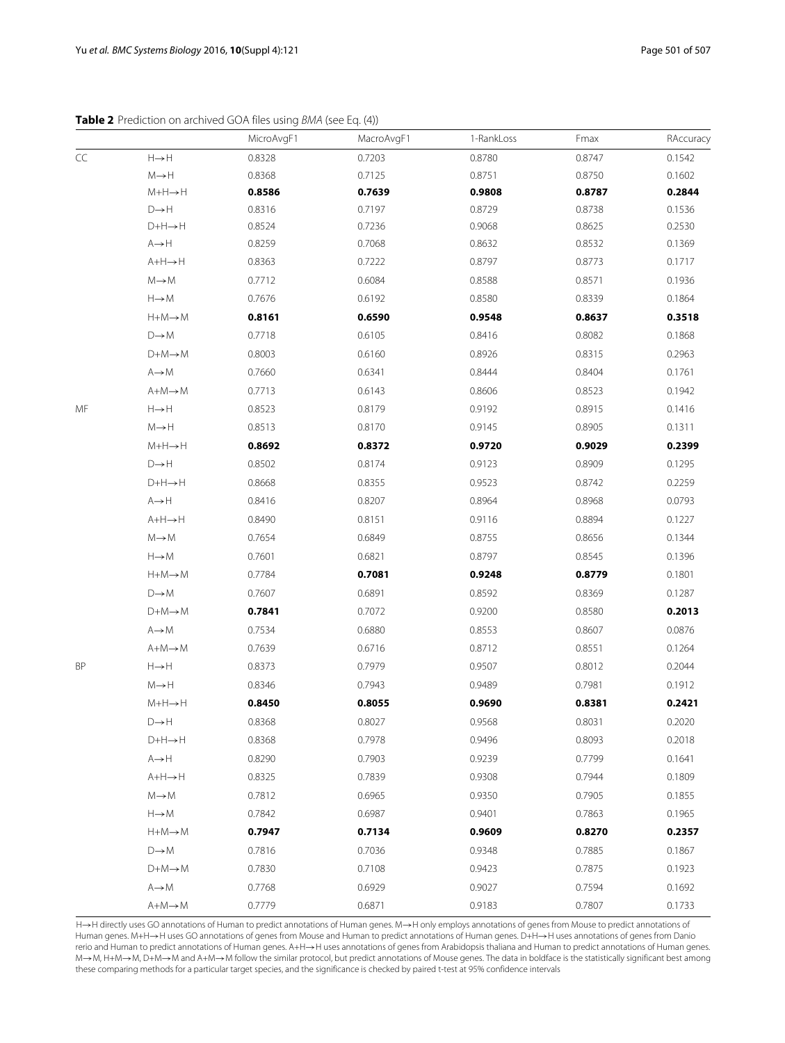<span id="page-6-0"></span>**Table 2** Prediction on archived GOA files using BMA (see Eq. [\(4\)](#page-3-2))

|                   |                                       | MicroAvgF1 | MacroAvgF1 | 1-RankLoss | Fmax   | RAccuracy |
|-------------------|---------------------------------------|------------|------------|------------|--------|-----------|
| $\subset \subset$ | $\mathsf{H}{\rightarrow}\mathsf{H}$   | 0.8328     | 0.7203     | 0.8780     | 0.8747 | 0.1542    |
|                   | ${\mathsf M}{\rightarrow}{\mathsf H}$ | 0.8368     | 0.7125     | 0.8751     | 0.8750 | 0.1602    |
|                   | $M+H\rightarrow H$                    | 0.8586     | 0.7639     | 0.9808     | 0.8787 | 0.2844    |
|                   | $D\rightarrow H$                      | 0.8316     | 0.7197     | 0.8729     | 0.8738 | 0.1536    |
|                   | $D+H\rightarrow H$                    | 0.8524     | 0.7236     | 0.9068     | 0.8625 | 0.2530    |
|                   | $A \rightarrow H$                     | 0.8259     | 0.7068     | 0.8632     | 0.8532 | 0.1369    |
|                   | $A+H\rightarrow H$                    | 0.8363     | 0.7222     | 0.8797     | 0.8773 | 0.1717    |
|                   | $M \rightarrow M$                     | 0.7712     | 0.6084     | 0.8588     | 0.8571 | 0.1936    |
|                   | $\mathsf{H}{\rightarrow}\mathsf{M}$   | 0.7676     | 0.6192     | 0.8580     | 0.8339 | 0.1864    |
|                   | $H + M \rightarrow M$                 | 0.8161     | 0.6590     | 0.9548     | 0.8637 | 0.3518    |
|                   | $D\rightarrow M$                      | 0.7718     | 0.6105     | 0.8416     | 0.8082 | 0.1868    |
|                   | $D+M \rightarrow M$                   | 0.8003     | 0.6160     | 0.8926     | 0.8315 | 0.2963    |
|                   | $A \rightarrow M$                     | 0.7660     | 0.6341     | 0.8444     | 0.8404 | 0.1761    |
|                   | $A+M \rightarrow M$                   | 0.7713     | 0.6143     | 0.8606     | 0.8523 | 0.1942    |
| MF                | $\mathsf{H}{\rightarrow}\mathsf{H}$   | 0.8523     | 0.8179     | 0.9192     | 0.8915 | 0.1416    |
|                   | $M \rightarrow H$                     | 0.8513     | 0.8170     | 0.9145     | 0.8905 | 0.1311    |
|                   | $M+H\rightarrow H$                    | 0.8692     | 0.8372     | 0.9720     | 0.9029 | 0.2399    |
|                   | $\mathsf{D}{\rightarrow}\mathsf{H}$   | 0.8502     | 0.8174     | 0.9123     | 0.8909 | 0.1295    |
|                   | $D+H\rightarrow H$                    | 0.8668     | 0.8355     | 0.9523     | 0.8742 | 0.2259    |
|                   | $A \rightarrow H$                     | 0.8416     | 0.8207     | 0.8964     | 0.8968 | 0.0793    |
|                   | $A+H\rightarrow H$                    | 0.8490     | 0.8151     | 0.9116     | 0.8894 | 0.1227    |
|                   | $M \rightarrow M$                     | 0.7654     | 0.6849     | 0.8755     | 0.8656 | 0.1344    |
|                   | $H \rightarrow M$                     | 0.7601     | 0.6821     | 0.8797     | 0.8545 | 0.1396    |
|                   | $H + M \rightarrow M$                 | 0.7784     | 0.7081     | 0.9248     | 0.8779 | 0.1801    |
|                   | $D\rightarrow M$                      | 0.7607     | 0.6891     | 0.8592     | 0.8369 | 0.1287    |
|                   | $D+M \rightarrow M$                   | 0.7841     | 0.7072     | 0.9200     | 0.8580 | 0.2013    |
|                   | $A \rightarrow M$                     | 0.7534     | 0.6880     | 0.8553     | 0.8607 | 0.0876    |
|                   | $A+M \rightarrow M$                   | 0.7639     | 0.6716     | 0.8712     | 0.8551 | 0.1264    |
| BP                | $\mathsf{H}{\rightarrow}\mathsf{H}$   | 0.8373     | 0.7979     | 0.9507     | 0.8012 | 0.2044    |
|                   | $M \rightarrow H$                     | 0.8346     | 0.7943     | 0.9489     | 0.7981 | 0.1912    |
|                   | $M+H\rightarrow H$                    | 0.8450     | 0.8055     | 0.9690     | 0.8381 | 0.2421    |
|                   | $\mathsf{D}{\rightarrow}\mathsf{H}$   | 0.8368     | 0.8027     | 0.9568     | 0.8031 | 0.2020    |
|                   | $D+H\rightarrow H$                    | 0.8368     | 0.7978     | 0.9496     | 0.8093 | 0.2018    |
|                   | $\mathbb{A} {\rightarrow} \mathbb{H}$ | 0.8290     | 0.7903     | 0.9239     | 0.7799 | 0.1641    |
|                   | $A+H\rightarrow H$                    | 0.8325     | 0.7839     | 0.9308     | 0.7944 | 0.1809    |
|                   | $M \rightarrow M$                     | 0.7812     | 0.6965     | 0.9350     | 0.7905 | 0.1855    |
|                   | $H \rightarrow M$                     | 0.7842     | 0.6987     | 0.9401     | 0.7863 | 0.1965    |
|                   | $H + M \rightarrow M$                 | 0.7947     | 0.7134     | 0.9609     | 0.8270 | 0.2357    |
|                   | $D\rightarrow M$                      | 0.7816     | 0.7036     | 0.9348     | 0.7885 | 0.1867    |
|                   | $D+M \rightarrow M$                   | 0.7830     | 0.7108     | 0.9423     | 0.7875 | 0.1923    |
|                   | $A \rightarrow M$                     | 0.7768     | 0.6929     | 0.9027     | 0.7594 | 0.1692    |
|                   | $A+M \rightarrow M$                   | 0.7779     | 0.6871     | 0.9183     | 0.7807 | 0.1733    |

H→H directly uses GO annotations of Human to predict annotations of Human genes. M→H only employs annotations of genes from Mouse to predict annotations of Human genes. M+H→H uses GO annotations of genes from Mouse and Human to predict annotations of Human genes. D+H→H uses annotations of genes from Danio rerio and Human to predict annotations of Human genes. A+H→H uses annotations of genes from Arabidopsis thaliana and Human to predict annotations of Human genes. M→M, H+M→M, D+M→M and A+M→M follow the similar protocol, but predict annotations of Mouse genes. The data in boldface is the statistically significant best among these comparing methods for a particular target species, and the significance is checked by paired t-test at 95% confidence intervals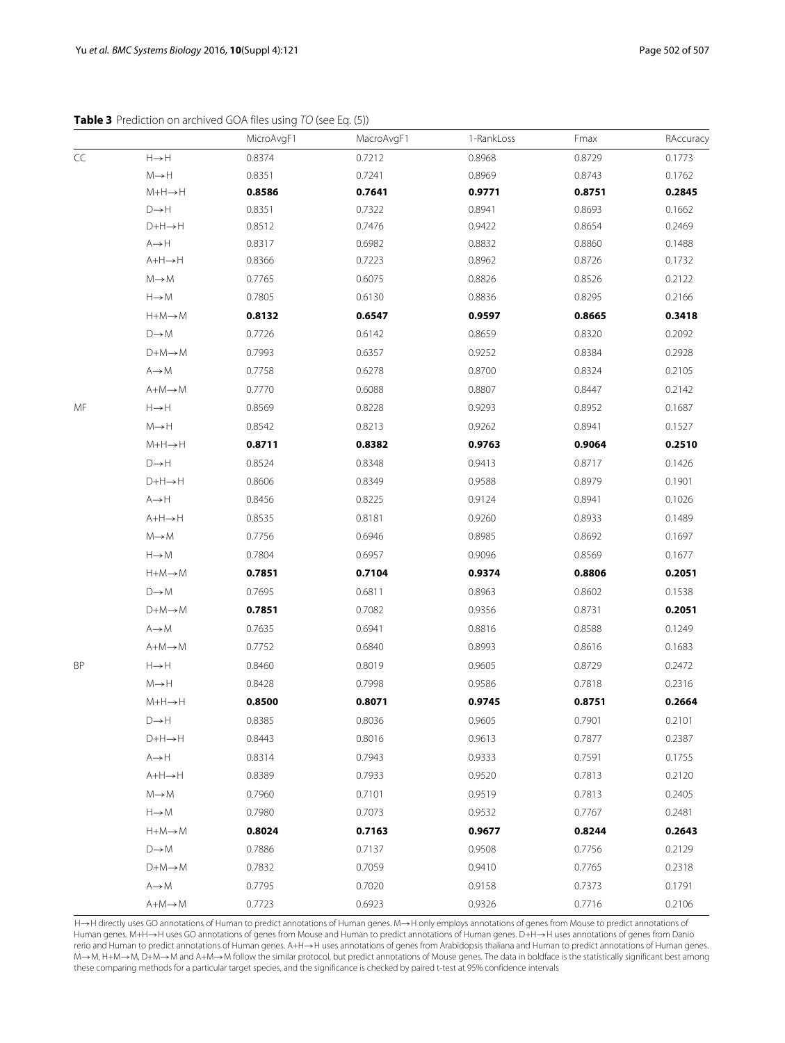**Table 3** Prediction on archived GOA files using TO (see Eq. [\(5\)](#page-3-3))

<span id="page-7-0"></span>

|    |                                     | MicroAvgF1 | MacroAvgF1                                                                                                                                                              | 1-RankLoss | Fmax   | RAccuracy |
|----|-------------------------------------|------------|-------------------------------------------------------------------------------------------------------------------------------------------------------------------------|------------|--------|-----------|
| CC | $\mathsf{H}{\rightarrow}\mathsf{H}$ | 0.8374     | 0.7212                                                                                                                                                                  | 0.8968     | 0.8729 | 0.1773    |
|    | $M \rightarrow H$                   | 0.8351     | 0.7241                                                                                                                                                                  | 0.8969     | 0.8743 | 0.1762    |
|    | $M+H\rightarrow H$                  | 0.8586     | 0.7641                                                                                                                                                                  | 0.9771     | 0.8751 | 0.2845    |
|    | $D\rightarrow H$                    | 0.8351     | 0.7322                                                                                                                                                                  | 0.8941     | 0.8693 | 0.1662    |
|    | $D+H\rightarrow H$                  | 0.8512     | 0.7476                                                                                                                                                                  | 0.9422     | 0.8654 | 0.2469    |
|    | $A \rightarrow H$                   | 0.8317     | 0.6982                                                                                                                                                                  | 0.8832     | 0.8860 | 0.1488    |
|    | $A+H\rightarrow H$                  | 0.8366     | 0.7223                                                                                                                                                                  | 0.8962     | 0.8726 | 0.1732    |
|    | $M \rightarrow M$                   | 0.7765     | 0.6075                                                                                                                                                                  | 0.8826     | 0.8526 | 0.2122    |
|    | $H \rightarrow M$                   | 0.7805     | 0.6130                                                                                                                                                                  | 0.8836     | 0.8295 | 0.2166    |
|    | $H + M \rightarrow M$               | 0.8132     | 0.6547                                                                                                                                                                  | 0.9597     | 0.8665 | 0.3418    |
|    | $D\rightarrow M$                    | 0.7726     | 0.6142                                                                                                                                                                  | 0.8659     | 0.8320 | 0.2092    |
|    | $D+M \rightarrow M$                 | 0.7993     | 0.6357                                                                                                                                                                  | 0.9252     | 0.8384 | 0.2928    |
|    | $A \rightarrow M$                   | 0.7758     | 0.6278                                                                                                                                                                  | 0.8700     | 0.8324 | 0.2105    |
|    | $A+M \rightarrow M$                 | 0.7770     | 0.6088                                                                                                                                                                  | 0.8807     | 0.8447 | 0.2142    |
| MF | $H \rightarrow H$                   | 0.8569     | 0.8228                                                                                                                                                                  | 0.9293     | 0.8952 | 0.1687    |
|    | $M \rightarrow H$                   | 0.8542     | 0.8213                                                                                                                                                                  | 0.9262     | 0.8941 | 0.1527    |
|    | $M+H\rightarrow H$                  | 0.8711     | 0.8382                                                                                                                                                                  | 0.9763     | 0.9064 | 0.2510    |
|    | $D\rightarrow H$                    | 0.8524     | 0.8348                                                                                                                                                                  | 0.9413     | 0.8717 | 0.1426    |
|    | $D+H\rightarrow H$                  | 0.8606     | 0.8349                                                                                                                                                                  | 0.9588     | 0.8979 | 0.1901    |
|    | $A \rightarrow H$                   | 0.8456     | 0.8225                                                                                                                                                                  | 0.9124     | 0.8941 | 0.1026    |
|    | $A+H\rightarrow H$                  | 0.8535     | 0.8181                                                                                                                                                                  | 0.9260     | 0.8933 | 0.1489    |
|    | $M \rightarrow M$                   | 0.7756     | 0.6946                                                                                                                                                                  | 0.8985     | 0.8692 | 0.1697    |
|    | $H \rightarrow M$                   | 0.7804     | 0.6957                                                                                                                                                                  | 0.9096     | 0.8569 | 0.1677    |
|    | $H + M \rightarrow M$               | 0.7851     | 0.7104                                                                                                                                                                  | 0.9374     | 0.8806 | 0.2051    |
|    | $D\rightarrow M$                    | 0.7695     | 0.6811                                                                                                                                                                  | 0.8963     | 0.8602 | 0.1538    |
|    | $D+M \rightarrow M$                 | 0.7851     | 0.7082                                                                                                                                                                  | 0.9356     | 0.8731 | 0.2051    |
|    | $A \rightarrow M$                   | 0.7635     | 0.6941                                                                                                                                                                  | 0.8816     | 0.8588 | 0.1249    |
|    | $A+M \rightarrow M$                 | 0.7752     | 0.6840                                                                                                                                                                  | 0.8993     | 0.8616 | 0.1683    |
| BP | $H \rightarrow H$                   | 0.8460     | 0.8019                                                                                                                                                                  | 0.9605     | 0.8729 | 0.2472    |
|    | M→H                                 | 0.8428     | 0.7998                                                                                                                                                                  | 0.9586     | 0.7818 | 0.2316    |
|    | $M+H\rightarrow H$                  | 0.8500     | 0.8071                                                                                                                                                                  | 0.9745     | 0.8751 | 0.2664    |
|    | $D\rightarrow H$                    | 0.8385     | 0.8036                                                                                                                                                                  | 0.9605     | 0.7901 | 0.2101    |
|    | $D+H \rightarrow H$                 | 0.8443     | 0.8016                                                                                                                                                                  | 0.9613     | 0.7877 | 0.2387    |
|    | $A \rightarrow H$                   | 0.8314     | 0.7943                                                                                                                                                                  | 0.9333     | 0.7591 | 0.1755    |
|    | $A+H\rightarrow H$                  | 0.8389     | 0.7933                                                                                                                                                                  | 0.9520     | 0.7813 | 0.2120    |
|    | $M \rightarrow M$                   | 0.7960     | 0.7101                                                                                                                                                                  | 0.9519     | 0.7813 | 0.2405    |
|    | $H \rightarrow M$                   | 0.7980     | 0.7073                                                                                                                                                                  | 0.9532     | 0.7767 | 0.2481    |
|    | $H + M \rightarrow M$               | 0.8024     | 0.7163                                                                                                                                                                  | 0.9677     | 0.8244 | 0.2643    |
|    | $D\rightarrow M$                    | 0.7886     | 0.7137                                                                                                                                                                  | 0.9508     | 0.7756 | 0.2129    |
|    | $D+M \rightarrow M$                 | 0.7832     | 0.7059                                                                                                                                                                  | 0.9410     | 0.7765 | 0.2318    |
|    | $A \rightarrow M$                   | 0.7795     |                                                                                                                                                                         |            |        |           |
|    |                                     |            | 0.7020                                                                                                                                                                  | 0.9158     | 0.7373 | 0.1791    |
|    | $A+M \rightarrow M$                 | 0.7723     | 0.6923<br>H->H directly uses GO annotations of Human to predict annotations of Human genes. M->H only employs annotations of genes from Mouse to predict annotations of | 0.9326     | 0.7716 | 0.2106    |

H→H directly uses GO annotations of Human to predict annotations of Human genes. M→H only employs annotations of genes from Mouse to predict annotations of Human genes. M+H→H uses GO annotations of genes from Mouse and Human to predict annotations of Human genes. D+H→H uses annotations of genes from Danio rerio and Human to predict annotations of Human genes. A+H→H uses annotations of genes from Arabidopsis thaliana and Human to predict annotations of Human genes. M→M, H+M→M, D+M→M and A+M→M follow the similar protocol, but predict annotations of Mouse genes. The data in boldface is the statistically significant best among these comparing methods for a particular target species, and the significance is checked by paired t-test at 95% confidence intervals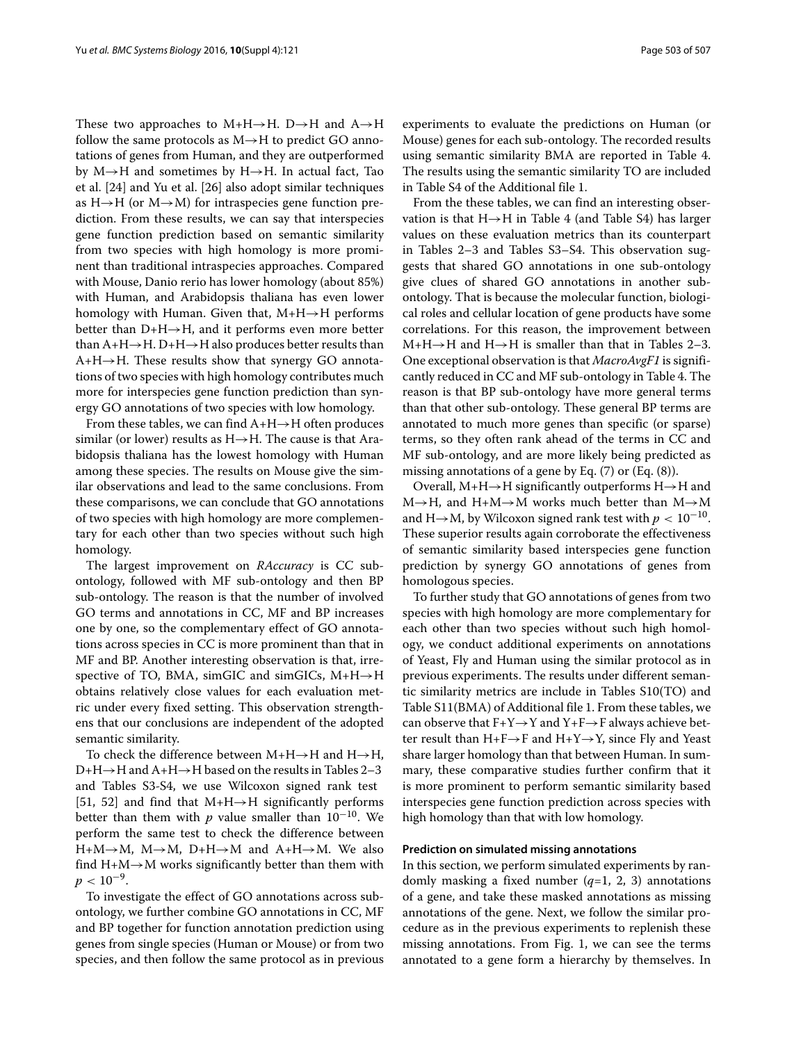These two approaches to M+H $\rightarrow$ H. D $\rightarrow$ H and A $\rightarrow$ H follow the same protocols as  $M \rightarrow H$  to predict GO annotations of genes from Human, and they are outperformed by  $M \rightarrow H$  and sometimes by  $H \rightarrow H$ . In actual fact, Tao et al. [\[24\]](#page-12-12) and Yu et al. [\[26\]](#page-12-13) also adopt similar techniques as  $H \rightarrow H$  (or  $M \rightarrow M$ ) for intraspecies gene function prediction. From these results, we can say that interspecies gene function prediction based on semantic similarity from two species with high homology is more prominent than traditional intraspecies approaches. Compared with Mouse, Danio rerio has lower homology (about 85%) with Human, and Arabidopsis thaliana has even lower homology with Human. Given that,  $M+H\rightarrow H$  performs better than  $D+H\rightarrow H$ , and it performs even more better than  $A+H\rightarrow H$ . D+ $H\rightarrow H$  also produces better results than  $A+H\rightarrow H$ . These results show that synergy GO annotations of two species with high homology contributes much more for interspecies gene function prediction than synergy GO annotations of two species with low homology.

From these tables, we can find  $A+H\rightarrow H$  often produces similar (or lower) results as  $H\rightarrow H$ . The cause is that Arabidopsis thaliana has the lowest homology with Human among these species. The results on Mouse give the similar observations and lead to the same conclusions. From these comparisons, we can conclude that GO annotations of two species with high homology are more complementary for each other than two species without such high homology.

The largest improvement on *RAccuracy* is CC subontology, followed with MF sub-ontology and then BP sub-ontology. The reason is that the number of involved GO terms and annotations in CC, MF and BP increases one by one, so the complementary effect of GO annotations across species in CC is more prominent than that in MF and BP. Another interesting observation is that, irrespective of TO, BMA, simGIC and simGICs,  $M+H\rightarrow H$ obtains relatively close values for each evaluation metric under every fixed setting. This observation strengthens that our conclusions are independent of the adopted semantic similarity.

To check the difference between  $M+H\rightarrow H$  and  $H\rightarrow H$ , D+H→H and A+H→H based on the results in Tables [2–](#page-6-0)[3](#page-7-0) and Tables S3-S4, we use Wilcoxon signed rank test [\[51,](#page-12-38) [52\]](#page-12-39) and find that M+H→H significantly performs better than them with *p* value smaller than  $10^{-10}$ . We perform the same test to check the difference between H+M $\rightarrow$ M, M $\rightarrow$ M, D+H $\rightarrow$ M and A+H $\rightarrow$ M. We also find  $H+M \rightarrow M$  works significantly better than them with  $p < 10^{-9}$ .

To investigate the effect of GO annotations across subontology, we further combine GO annotations in CC, MF and BP together for function annotation prediction using genes from single species (Human or Mouse) or from two species, and then follow the same protocol as in previous experiments to evaluate the predictions on Human (or Mouse) genes for each sub-ontology. The recorded results using semantic similarity BMA are reported in Table [4.](#page-9-0) The results using the semantic similarity TO are included in Table S4 of the Additional file [1.](#page-11-7)

From the these tables, we can find an interesting observation is that  $H \rightarrow H$  in Table [4](#page-9-0) (and Table S4) has larger values on these evaluation metrics than its counterpart in Tables [2](#page-6-0)[–3](#page-7-0) and Tables S3–S4. This observation suggests that shared GO annotations in one sub-ontology give clues of shared GO annotations in another subontology. That is because the molecular function, biological roles and cellular location of gene products have some correlations. For this reason, the improvement between  $M+H\rightarrow H$  and  $H\rightarrow H$  is smaller than that in Tables [2](#page-6-0)[–3.](#page-7-0) One exceptional observation is that *MacroAvgF1* is significantly reduced in CC and MF sub-ontology in Table [4.](#page-9-0) The reason is that BP sub-ontology have more general terms than that other sub-ontology. These general BP terms are annotated to much more genes than specific (or sparse) terms, so they often rank ahead of the terms in CC and MF sub-ontology, and are more likely being predicted as missing annotations of a gene by Eq. [\(7\)](#page-4-0) or (Eq. [\(8\)](#page-4-1)).

Overall, M+H→H significantly outperforms H→H and  $M \rightarrow H$ , and  $H + M \rightarrow M$  works much better than  $M \rightarrow M$ and H→M, by Wilcoxon signed rank test with  $p < 10^{-10}$ . These superior results again corroborate the effectiveness of semantic similarity based interspecies gene function prediction by synergy GO annotations of genes from homologous species.

To further study that GO annotations of genes from two species with high homology are more complementary for each other than two species without such high homology, we conduct additional experiments on annotations of Yeast, Fly and Human using the similar protocol as in previous experiments. The results under different semantic similarity metrics are include in Tables S10(TO) and Table S11(BMA) of Additional file [1.](#page-11-7) From these tables, we can observe that  $F+Y\rightarrow Y$  and  $Y+F\rightarrow F$  always achieve better result than  $H+F\rightarrow F$  and  $H+Y\rightarrow Y$ , since Fly and Yeast share larger homology than that between Human. In summary, these comparative studies further confirm that it is more prominent to perform semantic similarity based interspecies gene function prediction across species with high homology than that with low homology.

# **Prediction on simulated missing annotations**

In this section, we perform simulated experiments by randomly masking a fixed number (*q*=1, 2, 3) annotations of a gene, and take these masked annotations as missing annotations of the gene. Next, we follow the similar procedure as in the previous experiments to replenish these missing annotations. From Fig. [1,](#page-2-0) we can see the terms annotated to a gene form a hierarchy by themselves. In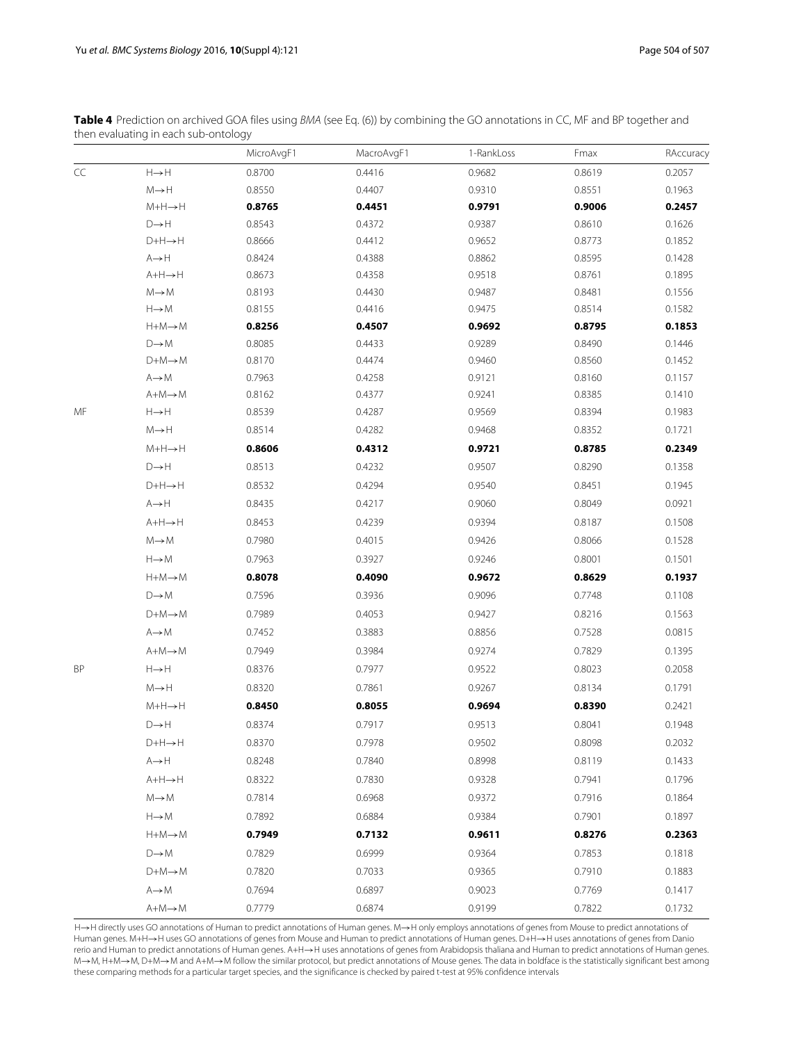<span id="page-9-0"></span>

| Table 4 Prediction on archived GOA files using BMA (see Eq. (6)) by combining the GO annotations in CC, MF and BP together and |
|--------------------------------------------------------------------------------------------------------------------------------|
| then evaluating in each sub-ontology                                                                                           |

|    |                                     | MicroAvgF1 | MacroAvgF1 | 1-RankLoss | Fmax   | RAccuracy |
|----|-------------------------------------|------------|------------|------------|--------|-----------|
| CC | $\mathsf{H}{\rightarrow}\mathsf{H}$ | 0.8700     | 0.4416     | 0.9682     | 0.8619 | 0.2057    |
|    | $M \rightarrow H$                   | 0.8550     | 0.4407     | 0.9310     | 0.8551 | 0.1963    |
|    | $M+H \rightarrow H$                 | 0.8765     | 0.4451     | 0.9791     | 0.9006 | 0.2457    |
|    | $D\rightarrow H$                    | 0.8543     | 0.4372     | 0.9387     | 0.8610 | 0.1626    |
|    | $D+H\rightarrow H$                  | 0.8666     | 0.4412     | 0.9652     | 0.8773 | 0.1852    |
|    | $A \rightarrow H$                   | 0.8424     | 0.4388     | 0.8862     | 0.8595 | 0.1428    |
|    | $A+H\rightarrow H$                  | 0.8673     | 0.4358     | 0.9518     | 0.8761 | 0.1895    |
|    | $M \rightarrow M$                   | 0.8193     | 0.4430     | 0.9487     | 0.8481 | 0.1556    |
|    | $H \rightarrow M$                   | 0.8155     | 0.4416     | 0.9475     | 0.8514 | 0.1582    |
|    | $H + M \rightarrow M$               | 0.8256     | 0.4507     | 0.9692     | 0.8795 | 0.1853    |
|    | $D \rightarrow M$                   | 0.8085     | 0.4433     | 0.9289     | 0.8490 | 0.1446    |
|    | $D+M \rightarrow M$                 | 0.8170     | 0.4474     | 0.9460     | 0.8560 | 0.1452    |
|    | $A \rightarrow M$                   | 0.7963     | 0.4258     | 0.9121     | 0.8160 | 0.1157    |
|    | $A+M \rightarrow M$                 | 0.8162     | 0.4377     | 0.9241     | 0.8385 | 0.1410    |
| ΜF | $H \rightarrow H$                   | 0.8539     | 0.4287     | 0.9569     | 0.8394 | 0.1983    |
|    | $M \rightarrow H$                   | 0.8514     | 0.4282     | 0.9468     | 0.8352 | 0.1721    |
|    | $M+H\rightarrow H$                  | 0.8606     | 0.4312     | 0.9721     | 0.8785 | 0.2349    |
|    | $\mathsf{D}{\rightarrow}\mathsf{H}$ | 0.8513     | 0.4232     | 0.9507     | 0.8290 | 0.1358    |
|    | $D+H\rightarrow H$                  | 0.8532     | 0.4294     | 0.9540     | 0.8451 | 0.1945    |
|    | $A \rightarrow H$                   | 0.8435     | 0.4217     | 0.9060     | 0.8049 | 0.0921    |
|    | $A+H\rightarrow H$                  | 0.8453     | 0.4239     | 0.9394     | 0.8187 | 0.1508    |
|    | $M \rightarrow M$                   | 0.7980     | 0.4015     | 0.9426     | 0.8066 | 0.1528    |
|    | $H \rightarrow M$                   | 0.7963     | 0.3927     | 0.9246     | 0.8001 | 0.1501    |
|    | $H + M \rightarrow M$               | 0.8078     | 0.4090     | 0.9672     | 0.8629 | 0.1937    |
|    | $D \rightarrow M$                   | 0.7596     | 0.3936     | 0.9096     | 0.7748 | 0.1108    |
|    | $D+M \rightarrow M$                 | 0.7989     | 0.4053     | 0.9427     | 0.8216 | 0.1563    |
|    | $A \rightarrow M$                   | 0.7452     | 0.3883     | 0.8856     | 0.7528 | 0.0815    |
|    | $A+M \rightarrow M$                 | 0.7949     | 0.3984     | 0.9274     | 0.7829 | 0.1395    |
| ΒP | $\mathsf{H}{\rightarrow}\mathsf{H}$ | 0.8376     | 0.7977     | 0.9522     | 0.8023 | 0.2058    |
|    | $M \rightarrow H$                   | 0.8320     | 0.7861     | 0.9267     | 0.8134 | 0.1791    |
|    | $M+H\rightarrow H$                  | 0.8450     | 0.8055     | 0.9694     | 0.8390 | 0.2421    |
|    | $D\rightarrow H$                    | 0.8374     | 0.7917     | 0.9513     | 0.8041 | 0.1948    |
|    | $D+H\rightarrow H$                  | 0.8370     | 0.7978     | 0.9502     | 0.8098 | 0.2032    |
|    | $A \rightarrow H$                   | 0.8248     | 0.7840     | 0.8998     | 0.8119 | 0.1433    |
|    | $A+H\rightarrow H$                  | 0.8322     | 0.7830     | 0.9328     | 0.7941 | 0.1796    |
|    | $M \rightarrow M$                   | 0.7814     | 0.6968     | 0.9372     | 0.7916 | 0.1864    |
|    |                                     |            |            | 0.9384     |        |           |
|    | $H \rightarrow M$                   | 0.7892     | 0.6884     |            | 0.7901 | 0.1897    |
|    | $H+M \rightarrow M$                 | 0.7949     | 0.7132     | 0.9611     | 0.8276 | 0.2363    |
|    | $D\rightarrow M$                    | 0.7829     | 0.6999     | 0.9364     | 0.7853 | 0.1818    |
|    | $D+M \rightarrow M$                 | 0.7820     | 0.7033     | 0.9365     | 0.7910 | 0.1883    |
|    | $A \rightarrow M$                   | 0.7694     | 0.6897     | 0.9023     | 0.7769 | 0.1417    |
|    | $A+M \rightarrow M$                 | 0.7779     | 0.6874     | 0.9199     | 0.7822 | 0.1732    |

H→H directly uses GO annotations of Human to predict annotations of Human genes. M→H only employs annotations of genes from Mouse to predict annotations of Human genes. M+H→H uses GO annotations of genes from Mouse and Human to predict annotations of Human genes. D+H→H uses annotations of genes from Danio rerio and Human to predict annotations of Human genes. A+H→H uses annotations of genes from Arabidopsis thaliana and Human to predict annotations of Human genes. M→M, H+M→M, D+M→M and A+M→M follow the similar protocol, but predict annotations of Mouse genes. The data in boldface is the statistically significant best among<br>these comparing methods for a particular target species, an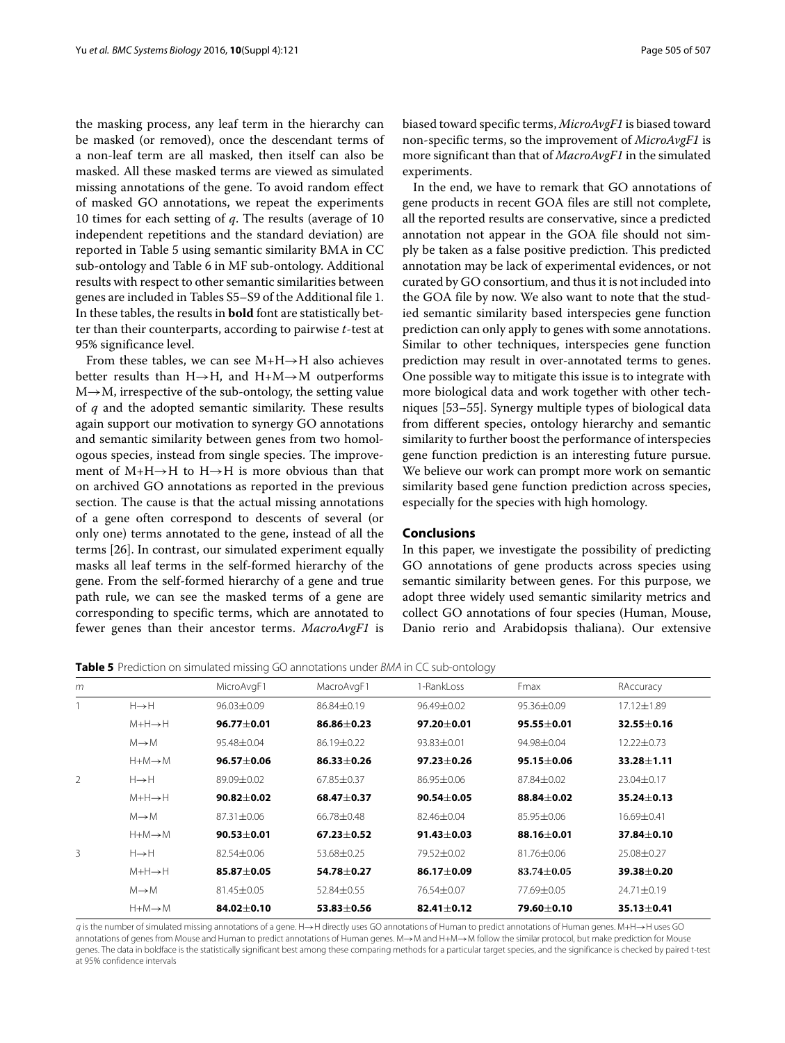the masking process, any leaf term in the hierarchy can be masked (or removed), once the descendant terms of a non-leaf term are all masked, then itself can also be masked. All these masked terms are viewed as simulated missing annotations of the gene. To avoid random effect of masked GO annotations, we repeat the experiments 10 times for each setting of *q*. The results (average of 10 independent repetitions and the standard deviation) are reported in Table [5](#page-10-0) using semantic similarity BMA in CC sub-ontology and Table [6](#page-11-8) in MF sub-ontology. Additional results with respect to other semantic similarities between genes are included in Tables S5–S9 of the Additional file [1.](#page-11-7) In these tables, the results in **bold** font are statistically better than their counterparts, according to pairwise *t*-test at 95% significance level.

From these tables, we can see  $M+H\rightarrow H$  also achieves better results than  $H \rightarrow H$ , and  $H + M \rightarrow M$  outperforms  $M \rightarrow M$ , irrespective of the sub-ontology, the setting value of *q* and the adopted semantic similarity. These results again support our motivation to synergy GO annotations and semantic similarity between genes from two homologous species, instead from single species. The improvement of  $M+H\rightarrow H$  to  $H\rightarrow H$  is more obvious than that on archived GO annotations as reported in the previous section. The cause is that the actual missing annotations of a gene often correspond to descents of several (or only one) terms annotated to the gene, instead of all the terms [\[26\]](#page-12-13). In contrast, our simulated experiment equally masks all leaf terms in the self-formed hierarchy of the gene. From the self-formed hierarchy of a gene and true path rule, we can see the masked terms of a gene are corresponding to specific terms, which are annotated to fewer genes than their ancestor terms. *MacroAvgF1* is

biased toward specific terms, *MicroAvgF1* is biased toward non-specific terms, so the improvement of *MicroAvgF1* is more significant than that of *MacroAvgF1* in the simulated experiments.

In the end, we have to remark that GO annotations of gene products in recent GOA files are still not complete, all the reported results are conservative, since a predicted annotation not appear in the GOA file should not simply be taken as a false positive prediction. This predicted annotation may be lack of experimental evidences, or not curated by GO consortium, and thus it is not included into the GOA file by now. We also want to note that the studied semantic similarity based interspecies gene function prediction can only apply to genes with some annotations. Similar to other techniques, interspecies gene function prediction may result in over-annotated terms to genes. One possible way to mitigate this issue is to integrate with more biological data and work together with other techniques [\[53–](#page-12-40)[55\]](#page-12-41). Synergy multiple types of biological data from different species, ontology hierarchy and semantic similarity to further boost the performance of interspecies gene function prediction is an interesting future pursue. We believe our work can prompt more work on semantic similarity based gene function prediction across species, especially for the species with high homology.

# **Conclusions**

In this paper, we investigate the possibility of predicting GO annotations of gene products across species using semantic similarity between genes. For this purpose, we adopt three widely used semantic similarity metrics and collect GO annotations of four species (Human, Mouse, Danio rerio and Arabidopsis thaliana). Our extensive

**Table 5** Prediction on simulated missing GO annotations under BMA in CC sub-ontology

<span id="page-10-0"></span>

| m              |                       | MicroAvgF1     | MacroAvgF1     | 1-RankLoss     | Fmax           | RAccuracy        |
|----------------|-----------------------|----------------|----------------|----------------|----------------|------------------|
|                | $H \rightarrow H$     | $96.03 + 0.09$ | $86.84 + 0.19$ | $96.49 + 0.02$ | $95.36 + 0.09$ | 17.12±1.89       |
|                | $M+H\rightarrow H$    | $96.77 + 0.01$ | $86.86 + 0.23$ | $97.20 + 0.01$ | $95.55 + 0.01$ | $32.55 + 0.16$   |
|                | $M \rightarrow M$     | $95.48 + 0.04$ | $86.19 + 0.22$ | 93.83±0.01     | 94.98±0.04     | $12.22 \pm 0.73$ |
|                | $H + M \rightarrow M$ | $96.57 + 0.06$ | $86.33 + 0.26$ | $97.23 + 0.26$ | $95.15 + 0.06$ | $33.28 + 1.11$   |
| $\overline{2}$ | $H \rightarrow H$     | 89.09+0.02     | $67.85 + 0.37$ | $86.95 + 0.06$ | $87.84 + 0.02$ | $23.04 + 0.17$   |
|                | $M+H\rightarrow H$    | $90.82 + 0.02$ | $68.47 + 0.37$ | $90.54 + 0.05$ | $88.84 + 0.02$ | $35.24 + 0.13$   |
|                | $M \rightarrow M$     | $87.31 + 0.06$ | $66.78 + 0.48$ | $82.46 + 0.04$ | $85.95 + 0.06$ | $16.69 + 0.41$   |
|                | $H + M \rightarrow M$ | $90.53 + 0.01$ | $67.23 + 0.52$ | $91.43 + 0.03$ | $88.16 + 0.01$ | $37.84 + 0.10$   |
| 3              | $H \rightarrow H$     | $82.54 + 0.06$ | 53.68±0.25     | 79.52±0.02     | 81.76±0.06     | 25.08±0.27       |
|                | $M+H\rightarrow H$    | $85.87 + 0.05$ | 54.78+0.27     | $86.17 + 0.09$ | $83.74 + 0.05$ | 39.38+0.20       |
|                | $M \rightarrow M$     | $81.45 + 0.05$ | $52.84 + 0.55$ | $76.54 + 0.07$ | 77.69 + 0.05   | $74.71 \pm 0.19$ |
|                | $H + M \rightarrow M$ | $84.02 + 0.10$ | $53.83 + 0.56$ | $82.41 + 0.12$ | 79.60 ± 0.10   | $35.13 + 0.41$   |

q is the number of simulated missing annotations of a gene. H→H directly uses GO annotations of Human to predict annotations of Human genes. M+H→H uses GO annotations of genes from Mouse and Human to predict annotations of Human genes. M→M and H+M→M follow the similar protocol, but make prediction for Mouse genes. The data in boldface is the statistically significant best among these comparing methods for a particular target species, and the significance is checked by paired t-test at 95% confidence intervals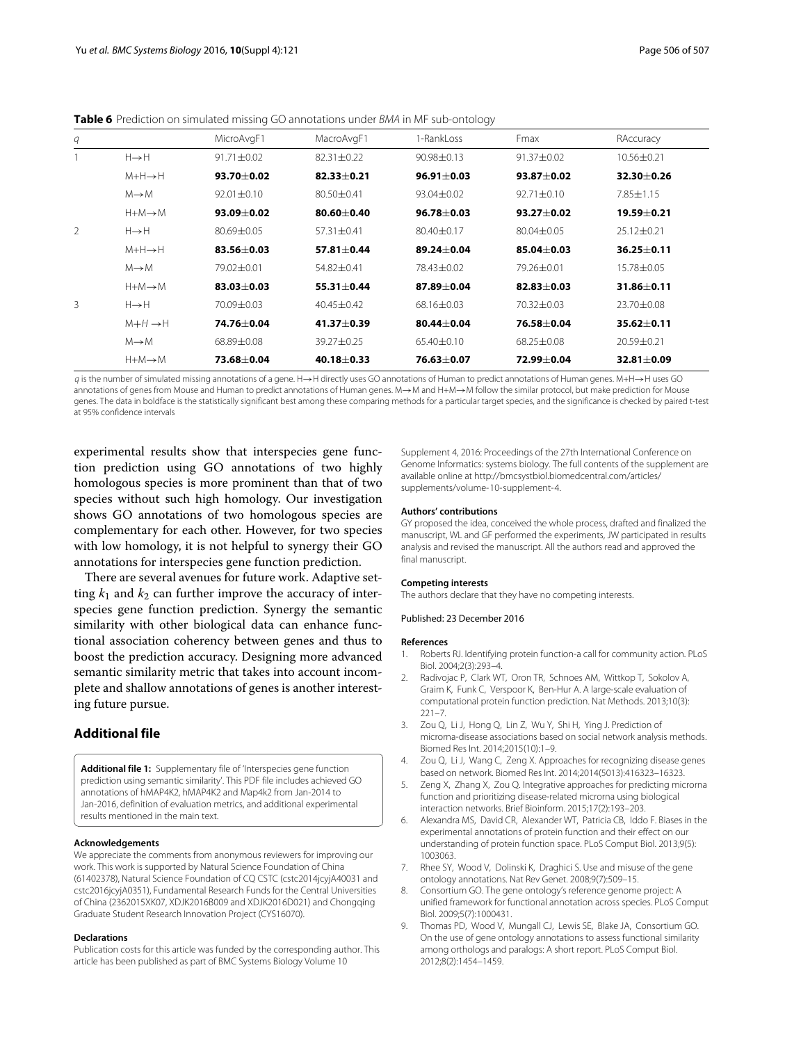<span id="page-11-8"></span>

| q |                       | MicroAvgF1     | MacroAvgF1       | 1-Rankloss     | Fmax             | RAccuracy      |
|---|-----------------------|----------------|------------------|----------------|------------------|----------------|
|   | $H\rightarrow H$      | $91.71 + 0.02$ | $82.31 + 0.22$   | $90.98 + 0.13$ | $91.37 + 0.02$   | $10.56 + 0.21$ |
|   | $M+H\rightarrow H$    | $93.70 + 0.02$ | $82.33 + 0.21$   | $96.91 + 0.03$ | $93.87 + 0.02$   | $32.30 + 0.26$ |
|   | $M \rightarrow M$     | $92.01 + 0.10$ | $80.50 + 0.41$   | $93.04 + 0.02$ | $92.71 \pm 0.10$ | $7.85 + 1.15$  |
|   | $H + M \rightarrow M$ | $93.09 + 0.02$ | $80.60 + 0.40$   | $96.78 + 0.03$ | $93.27 + 0.02$   | $19.59 + 0.21$ |
| 2 | $H \rightarrow H$     | $80.69 + 0.05$ | $57.31 + 0.41$   | $80.40 + 0.17$ | $80.04 + 0.05$   | $25.12 + 0.21$ |
|   | $M+H\rightarrow H$    | $83.56 + 0.03$ | $57.81 + 0.44$   | $89.24 + 0.04$ | $85.04 + 0.03$   | $36.25 + 0.11$ |
|   | $M \rightarrow M$     | 79.02 + 0.01   | $54.82 + 0.41$   | 78.43 + 0.02   | 79.26+0.01       | 15.78±0.05     |
|   | $H + M \rightarrow M$ | $83.03 + 0.03$ | $55.31 + 0.44$   | $87.89 + 0.04$ | $82.83 + 0.03$   | $31.86 + 0.11$ |
| 3 | $H \rightarrow H$     | 70.09 + 0.03   | $40.45 \pm 0.42$ | 68.16±0.03     | $70.32 + 0.03$   | 23.70±0.08     |
|   | $M+H \rightarrow H$   | 74.76+0.04     | $41.37 + 0.39$   | $80.44 + 0.04$ | 76.58+0.04       | $35.62 + 0.11$ |
|   |                       |                |                  |                |                  |                |

**Table 6** Prediction on simulated missing GO annotations under BMA in MF sub-ontology

q is the number of simulated missing annotations of a gene. H→H directly uses GO annotations of Human to predict annotations of Human genes. M+H→H uses GO annotations of genes from Mouse and Human to predict annotations of Human genes. M→M and H+M→M follow the similar protocol, but make prediction for Mouse genes. The data in boldface is the statistically significant best among these comparing methods for a particular target species, and the significance is checked by paired t-test at 95% confidence intervals

M→M 68.89±0.08 39.27±0.25 65.40±0.10 68.25±0.08 20.59±0.21 H+M→M **73.68**±**0.04 40.18**±**0.33 76.63**±**0.07 72.99**±**0.04 32.81**±**0.09**

experimental results show that interspecies gene function prediction using GO annotations of two highly homologous species is more prominent than that of two species without such high homology. Our investigation shows GO annotations of two homologous species are complementary for each other. However, for two species with low homology, it is not helpful to synergy their GO annotations for interspecies gene function prediction.

There are several avenues for future work. Adaptive setting  $k_1$  and  $k_2$  can further improve the accuracy of interspecies gene function prediction. Synergy the semantic similarity with other biological data can enhance functional association coherency between genes and thus to boost the prediction accuracy. Designing more advanced semantic similarity metric that takes into account incomplete and shallow annotations of genes is another interesting future pursue.

# **Additional file**

<span id="page-11-7"></span>**[Additional file 1:](http://dx.doi.org/10.1186/s12918-016-0361-5)** Supplementary file of 'Interspecies gene function prediction using semantic similarity'. This PDF file includes achieved GO annotations of hMAP4K2, hMAP4K2 and Map4k2 from Jan-2014 to Jan-2016, definition of evaluation metrics, and additional experimental results mentioned in the main text.

#### **Acknowledgements**

We appreciate the comments from anonymous reviewers for improving our work. This work is supported by Natural Science Foundation of China (61402378), Natural Science Foundation of CQ CSTC (cstc2014jcyjA40031 and cstc2016jcyjA0351), Fundamental Research Funds for the Central Universities of China (2362015XK07, XDJK2016B009 and XDJK2016D021) and Chongqing Graduate Student Research Innovation Project (CYS16070).

#### **Declarations**

Publication costs for this article was funded by the corresponding author. This article has been published as part of BMC Systems Biology Volume 10

Supplement 4, 2016: Proceedings of the 27th International Conference on Genome Informatics: systems biology. The full contents of the supplement are available online at [http://bmcsystbiol.biomedcentral.com/articles/](http://bmcsystbiol.biomedcentral.com/articles/supplements/volume-10-supplement-4) [supplements/volume-10-supplement-4.](http://bmcsystbiol.biomedcentral.com/articles/supplements/volume-10-supplement-4)

#### **Authors' contributions**

GY proposed the idea, conceived the whole process, drafted and finalized the manuscript, WL and GF performed the experiments, JW participated in results analysis and revised the manuscript. All the authors read and approved the final manuscript.

#### **Competing interests**

The authors declare that they have no competing interests.

#### Published: 23 December 2016

#### **References**

- <span id="page-11-0"></span>1. Roberts RJ. Identifying protein function-a call for community action. PLoS Biol. 2004;2(3):293–4.
- <span id="page-11-5"></span>2. Radivojac P, Clark WT, Oron TR, Schnoes AM, Wittkop T, Sokolov A, Graim K, Funk C, Verspoor K, Ben-Hur A. A large-scale evaluation of computational protein function prediction. Nat Methods. 2013;10(3):  $221 - 7.$
- 3. Zou Q, Li J, Hong Q, Lin Z, Wu Y, Shi H, Ying J. Prediction of microrna-disease associations based on social network analysis methods. Biomed Res Int. 2014;2015(10):1–9.
- 4. Zou Q, Li J, Wang C, Zeng X. Approaches for recognizing disease genes based on network. Biomed Res Int. 2014;2014(5013):416323–16323.
- <span id="page-11-1"></span>5. Zeng X, Zhang X, Zou Q. Integrative approaches for predicting microrna function and prioritizing disease-related microrna using biological interaction networks. Brief Bioinform. 2015;17(2):193–203.
- <span id="page-11-2"></span>6. Alexandra MS, David CR, Alexander WT, Patricia CB, Iddo F. Biases in the experimental annotations of protein function and their effect on our understanding of protein function space. PLoS Comput Biol. 2013;9(5): 1003063.
- <span id="page-11-6"></span>7. Rhee SY, Wood V, Dolinski K, Draghici S. Use and misuse of the gene ontology annotations. Nat Rev Genet. 2008;9(7):509–15.
- <span id="page-11-4"></span>8. Consortium GO. The gene ontology's reference genome project: A unified framework for functional annotation across species. PLoS Comput Biol. 2009;5(7):1000431.
- <span id="page-11-3"></span>9. Thomas PD, Wood V, Mungall CJ, Lewis SE, Blake JA, Consortium GO. On the use of gene ontology annotations to assess functional similarity among orthologs and paralogs: A short report. PLoS Comput Biol. 2012;8(2):1454–1459.